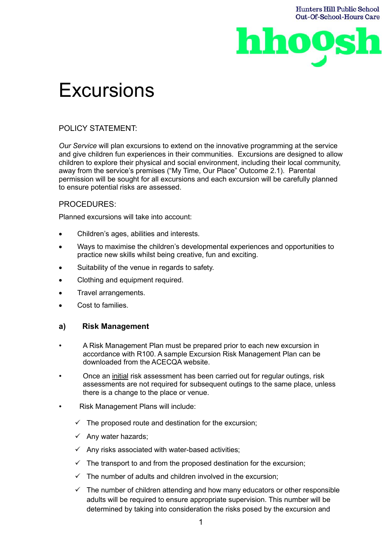

# **Excursions**

# POLICY STATEMENT:

*Our Service* will plan excursions to extend on the innovative programming at the service and give children fun experiences in their communities. Excursions are designed to allow children to explore their physical and social environment, including their local community, away from the service's premises ("My Time, Our Place" Outcome 2.1). Parental permission will be sought for all excursions and each excursion will be carefully planned to ensure potential risks are assessed.

# PROCEDURES:

Planned excursions will take into account:

- Children's ages, abilities and interests.
- Ways to maximise the children's developmental experiences and opportunities to practice new skills whilst being creative, fun and exciting.
- Suitability of the venue in regards to safety.
- Clothing and equipment required.
- Travel arrangements.
- Cost to families.

# **a) Risk Management**

- A Risk Management Plan must be prepared prior to each new excursion in accordance with R100. A sample Excursion Risk Management Plan can be downloaded from the ACECQA website.
- Once an initial risk assessment has been carried out for regular outings, risk assessments are not required for subsequent outings to the same place, unless there is a change to the place or venue.
- Risk Management Plans will include:
	- $\checkmark$  The proposed route and destination for the excursion;
	- $\checkmark$  Any water hazards;
	- $\checkmark$  Any risks associated with water-based activities;
	- $\checkmark$  The transport to and from the proposed destination for the excursion;
	- $\checkmark$  The number of adults and children involved in the excursion:
	- $\checkmark$  The number of children attending and how many educators or other responsible adults will be required to ensure appropriate supervision. This number will be determined by taking into consideration the risks posed by the excursion and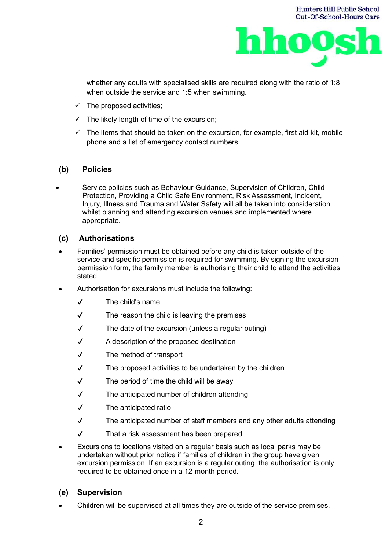

whether any adults with specialised skills are required along with the ratio of 1:8 when outside the service and 1:5 when swimming.

- $\checkmark$  The proposed activities;
- $\checkmark$  The likely length of time of the excursion;
- $\checkmark$  The items that should be taken on the excursion, for example, first aid kit, mobile phone and a list of emergency contact numbers.

# **(b) Policies**

• Service policies such as Behaviour Guidance, Supervision of Children, Child Protection, Providing a Child Safe Environment, Risk Assessment, Incident, Injury, Illness and Trauma and Water Safety will all be taken into consideration whilst planning and attending excursion venues and implemented where appropriate.

# **(c) Authorisations**

- Families' permission must be obtained before any child is taken outside of the service and specific permission is required for swimming. By signing the excursion permission form, the family member is authorising their child to attend the activities stated.
- Authorisation for excursions must include the following:
	- ✔ The child's name
	- $\sqrt{ }$  The reason the child is leaving the premises
	- $\sqrt{ }$  The date of the excursion (unless a regular outing)
	- ✔ A description of the proposed destination
	- ✔ The method of transport
	- $\sqrt{ }$  The proposed activities to be undertaken by the children
	- $\sqrt{ }$  The period of time the child will be away
	- ✔ The anticipated number of children attending
	- ✔ The anticipated ratio
	- ✔ The anticipated number of staff members and any other adults attending
	- ✔ That a risk assessment has been prepared
- Excursions to locations visited on a regular basis such as local parks may be undertaken without prior notice if families of children in the group have given excursion permission. If an excursion is a regular outing, the authorisation is only required to be obtained once in a 12-month period.

## **(e) Supervision**

• Children will be supervised at all times they are outside of the service premises.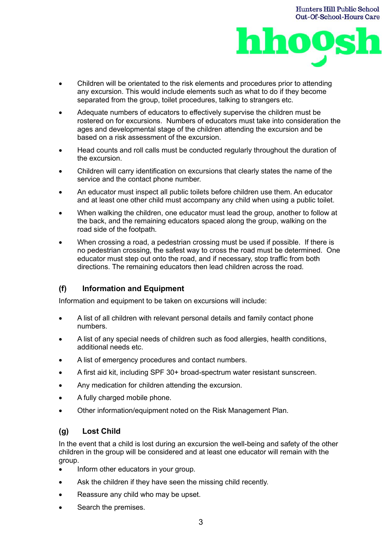



- Children will be orientated to the risk elements and procedures prior to attending any excursion. This would include elements such as what to do if they become separated from the group, toilet procedures, talking to strangers etc.
- Adequate numbers of educators to effectively supervise the children must be rostered on for excursions. Numbers of educators must take into consideration the ages and developmental stage of the children attending the excursion and be based on a risk assessment of the excursion.
- Head counts and roll calls must be conducted regularly throughout the duration of the excursion.
- Children will carry identification on excursions that clearly states the name of the service and the contact phone number.
- An educator must inspect all public toilets before children use them. An educator and at least one other child must accompany any child when using a public toilet.
- When walking the children, one educator must lead the group, another to follow at the back, and the remaining educators spaced along the group, walking on the road side of the footpath.
- When crossing a road, a pedestrian crossing must be used if possible. If there is no pedestrian crossing, the safest way to cross the road must be determined. One educator must step out onto the road, and if necessary, stop traffic from both directions. The remaining educators then lead children across the road.

# **(f) Information and Equipment**

Information and equipment to be taken on excursions will include:

- A list of all children with relevant personal details and family contact phone numbers.
- A list of any special needs of children such as food allergies, health conditions, additional needs etc.
- A list of emergency procedures and contact numbers.
- A first aid kit, including SPF 30+ broad-spectrum water resistant sunscreen.
- Any medication for children attending the excursion.
- A fully charged mobile phone.
- Other information/equipment noted on the Risk Management Plan.

## **(g) Lost Child**

In the event that a child is lost during an excursion the well-being and safety of the other children in the group will be considered and at least one educator will remain with the group.

- Inform other educators in your group.
- Ask the children if they have seen the missing child recently.
- Reassure any child who may be upset.
- Search the premises.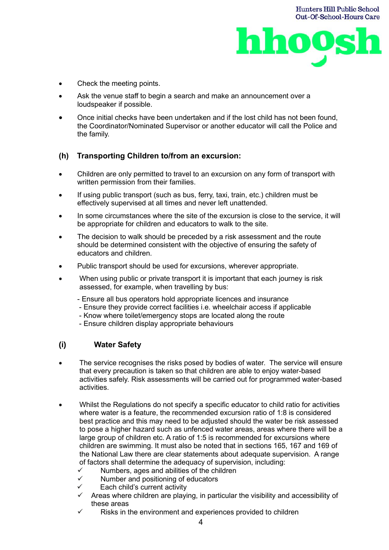

- Check the meeting points.
- Ask the venue staff to begin a search and make an announcement over a loudspeaker if possible.
- Once initial checks have been undertaken and if the lost child has not been found, the Coordinator/Nominated Supervisor or another educator will call the Police and the family.

# **(h) Transporting Children to/from an excursion:**

- Children are only permitted to travel to an excursion on any form of transport with written permission from their families.
- If using public transport (such as bus, ferry, taxi, train, etc.) children must be effectively supervised at all times and never left unattended.
- In some circumstances where the site of the excursion is close to the service, it will be appropriate for children and educators to walk to the site.
- The decision to walk should be preceded by a risk assessment and the route should be determined consistent with the objective of ensuring the safety of educators and children.
- Public transport should be used for excursions, wherever appropriate.
- When using public or private transport it is important that each journey is risk assessed, for example, when travelling by bus:
	- Ensure all bus operators hold appropriate licences and insurance
	- Ensure they provide correct facilities i.e. wheelchair access if applicable
	- Know where toilet/emergency stops are located along the route
	- Ensure children display appropriate behaviours

## **(i) Water Safety**

- The service recognises the risks posed by bodies of water. The service will ensure that every precaution is taken so that children are able to enjoy water-based activities safely. Risk assessments will be carried out for programmed water-based activities.
- Whilst the Regulations do not specify a specific educator to child ratio for activities where water is a feature, the recommended excursion ratio of 1:8 is considered best practice and this may need to be adjusted should the water be risk assessed to pose a higher hazard such as unfenced water areas, areas where there will be a large group of children etc. A ratio of 1:5 is recommended for excursions where children are swimming. It must also be noted that in sections 165, 167 and 169 of the National Law there are clear statements about adequate supervision. A range of factors shall determine the adequacy of supervision, including:
	- $\checkmark$  Numbers, ages and abilities of the children
	- ✓ Number and positioning of educators
	- ✓ Each child's current activity
	- $\checkmark$  Areas where children are playing, in particular the visibility and accessibility of these areas
	- Risks in the environment and experiences provided to children